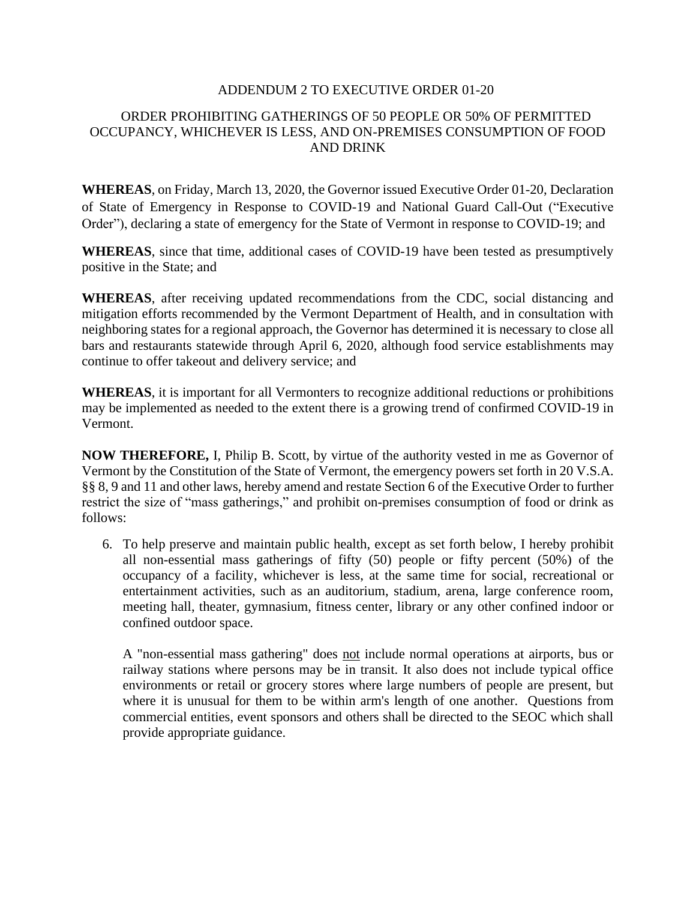## ADDENDUM 2 TO EXECUTIVE ORDER 01-20

## ORDER PROHIBITING GATHERINGS OF 50 PEOPLE OR 50% OF PERMITTED OCCUPANCY, WHICHEVER IS LESS, AND ON-PREMISES CONSUMPTION OF FOOD AND DRINK

**WHEREAS**, on Friday, March 13, 2020, the Governor issued Executive Order 01-20, Declaration of State of Emergency in Response to COVID-19 and National Guard Call-Out ("Executive Order"), declaring a state of emergency for the State of Vermont in response to COVID-19; and

**WHEREAS**, since that time, additional cases of COVID-19 have been tested as presumptively positive in the State; and

**WHEREAS**, after receiving updated recommendations from the CDC, social distancing and mitigation efforts recommended by the Vermont Department of Health, and in consultation with neighboring states for a regional approach, the Governor has determined it is necessary to close all bars and restaurants statewide through April 6, 2020, although food service establishments may continue to offer takeout and delivery service; and

**WHEREAS**, it is important for all Vermonters to recognize additional reductions or prohibitions may be implemented as needed to the extent there is a growing trend of confirmed COVID-19 in Vermont.

**NOW THEREFORE,** I, Philip B. Scott, by virtue of the authority vested in me as Governor of Vermont by the Constitution of the State of Vermont, the emergency powers set forth in 20 V.S.A. §§ 8, 9 and 11 and other laws, hereby amend and restate Section 6 of the Executive Order to further restrict the size of "mass gatherings," and prohibit on-premises consumption of food or drink as follows:

6. To help preserve and maintain public health, except as set forth below, I hereby prohibit all non-essential mass gatherings of fifty (50) people or fifty percent (50%) of the occupancy of a facility, whichever is less, at the same time for social, recreational or entertainment activities, such as an auditorium, stadium, arena, large conference room, meeting hall, theater, gymnasium, fitness center, library or any other confined indoor or confined outdoor space.

A "non-essential mass gathering" does not include normal operations at airports, bus or railway stations where persons may be in transit. It also does not include typical office environments or retail or grocery stores where large numbers of people are present, but where it is unusual for them to be within arm's length of one another. Questions from commercial entities, event sponsors and others shall be directed to the SEOC which shall provide appropriate guidance.